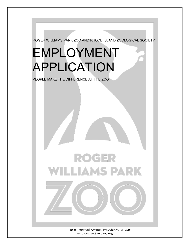

employment@rwpzoo.org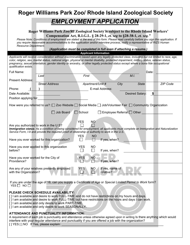| Roger Williams Park Zoo/ Rhode Island Zoological Society                                                                                                                                                                                                                                                                                                                                                                                                     |                       |                                   |                              |      |                      |                 |  |  |  |
|--------------------------------------------------------------------------------------------------------------------------------------------------------------------------------------------------------------------------------------------------------------------------------------------------------------------------------------------------------------------------------------------------------------------------------------------------------------|-----------------------|-----------------------------------|------------------------------|------|----------------------|-----------------|--|--|--|
| <b>EMPLOYMENT APPLICATION</b>                                                                                                                                                                                                                                                                                                                                                                                                                                |                       |                                   |                              |      |                      |                 |  |  |  |
|                                                                                                                                                                                                                                                                                                                                                                                                                                                              |                       |                                   |                              |      |                      |                 |  |  |  |
| Roger Williams Park Zoo/RI Zoological Society is subject to the Rhode Island Workers'<br>Compensation Act, R.I.G.L. § 28-29-1, et. seq to §28-38-1, et. seq."                                                                                                                                                                                                                                                                                                |                       |                                   |                              |      |                      |                 |  |  |  |
| Please Note: Conditions of employment are stated at the end of this form. Please read carefully before you sign this application. If<br>you require reasonable accommodations to the application and/or interview process, notify a representative of RIZS Human                                                                                                                                                                                             |                       |                                   |                              |      |                      |                 |  |  |  |
| Resource Department.<br>(Application must be completed in full even if attaching a resume.)                                                                                                                                                                                                                                                                                                                                                                  |                       |                                   |                              |      |                      |                 |  |  |  |
|                                                                                                                                                                                                                                                                                                                                                                                                                                                              |                       | <b>Applicant Information</b>      |                              |      |                      |                 |  |  |  |
| Applicants will receive consideration without discrimination based upon any legally protected class, including but not limited to race, age,<br>color, religion, sex, marital status, national origin, physical or mental disability, protected impairment, military status, veteran status,<br>pregnancy, sexual orientation, gender identity or ancestry, or other legally protected status except where a bona fide occupational<br>qualification exists. |                       |                                   |                              |      |                      |                 |  |  |  |
| Full Name:                                                                                                                                                                                                                                                                                                                                                                                                                                                   |                       |                                   |                              |      | Date:                |                 |  |  |  |
| Last                                                                                                                                                                                                                                                                                                                                                                                                                                                         |                       | First                             |                              |      | M.I.                 |                 |  |  |  |
| <b>Present Address:</b>                                                                                                                                                                                                                                                                                                                                                                                                                                      | <b>Street Address</b> | Apartment/Unit #                  |                              | City | <b>State</b>         | <b>ZIP Code</b> |  |  |  |
| Phone:                                                                                                                                                                                                                                                                                                                                                                                                                                                       |                       |                                   | E-mail Address:              |      |                      |                 |  |  |  |
| Date Available:                                                                                                                                                                                                                                                                                                                                                                                                                                              |                       |                                   |                              |      | Desired Salary:<br>S |                 |  |  |  |
| Position applying for:                                                                                                                                                                                                                                                                                                                                                                                                                                       |                       |                                   |                              |      |                      |                 |  |  |  |
| How were you referred to us?: $\Box$ Zoo Website $\Box$ Social Media $\Box$ Job/Volunteer Fair $\Box$ Community Organization                                                                                                                                                                                                                                                                                                                                 |                       |                                   |                              |      |                      |                 |  |  |  |
| $\Box$ Job Board<br>Employee Referral □ Other<br>$\Box$ School                                                                                                                                                                                                                                                                                                                                                                                               |                       |                                   |                              |      |                      |                 |  |  |  |
|                                                                                                                                                                                                                                                                                                                                                                                                                                                              |                       | <b>YES</b><br>NO.                 |                              |      |                      |                 |  |  |  |
| Are you authorized to work in the U.S?<br>Immigration status: As a condition of being considered for employment, all applicants must complete an Immigration and Naturalization                                                                                                                                                                                                                                                                              |                       |                                   |                              |      |                      |                 |  |  |  |
| Service Form, I-9 and provide the required proof of citizenship or authority to work in the U.S.                                                                                                                                                                                                                                                                                                                                                             |                       |                                   |                              |      |                      |                 |  |  |  |
| Have you ever worked for this organization?                                                                                                                                                                                                                                                                                                                                                                                                                  |                       | <b>YES</b><br>NO                  | If yes, when?                |      |                      |                 |  |  |  |
|                                                                                                                                                                                                                                                                                                                                                                                                                                                              |                       |                                   |                              |      |                      |                 |  |  |  |
| Have you ever applied to this organization<br>before?                                                                                                                                                                                                                                                                                                                                                                                                        |                       | YES<br>NO                         | If yes, when?                |      |                      |                 |  |  |  |
| Have you ever worked for the City of                                                                                                                                                                                                                                                                                                                                                                                                                         |                       | YES<br><b>NO</b>                  |                              |      |                      |                 |  |  |  |
| Providence?                                                                                                                                                                                                                                                                                                                                                                                                                                                  |                       |                                   | If yes, when?                |      |                      |                 |  |  |  |
| Are any of your relatives presently employed<br>with the Organization?                                                                                                                                                                                                                                                                                                                                                                                       |                       | <b>YES</b><br><b>NO</b><br>$\Box$ | If yes, name of<br>relative? |      |                      |                 |  |  |  |
|                                                                                                                                                                                                                                                                                                                                                                                                                                                              |                       |                                   |                              |      |                      |                 |  |  |  |
| If you are under the age of 18, can you supply a Certificate of Age or Special Limited Permit to Work form?<br>YES $\Box$ NO $\Box$                                                                                                                                                                                                                                                                                                                          |                       |                                   |                              |      |                      |                 |  |  |  |
| PLEASE CHECK SCHEDULE AVAILABILITY:                                                                                                                                                                                                                                                                                                                                                                                                                          |                       |                                   |                              |      |                      |                 |  |  |  |
| [] I am available and desire to work FULL-TIME and do not have restrictions on my hours and days.<br>[] I am available and desire to work FULL-TIME but have restrictions on the hours and days I can work.                                                                                                                                                                                                                                                  |                       |                                   |                              |      |                      |                 |  |  |  |
| [] I am available and only desire to work PART-TIME.                                                                                                                                                                                                                                                                                                                                                                                                         |                       |                                   |                              |      |                      |                 |  |  |  |
| [] I am available and only desire to work SEASONALLY.                                                                                                                                                                                                                                                                                                                                                                                                        |                       |                                   |                              |      |                      |                 |  |  |  |
| ATTENDANCE AND PUNCTUALITY INFORMATION:                                                                                                                                                                                                                                                                                                                                                                                                                      |                       |                                   |                              |      |                      |                 |  |  |  |
| A requirement of each job is punctuality and attendance unless otherwise agreed upon in writing Is there anything which would<br>interfere with your regular attendance and punctuality if you are offered a job with the organization?                                                                                                                                                                                                                      |                       |                                   |                              |      |                      |                 |  |  |  |
| [] YES [] NO If Yes, please explain:                                                                                                                                                                                                                                                                                                                                                                                                                         |                       |                                   |                              |      |                      |                 |  |  |  |
|                                                                                                                                                                                                                                                                                                                                                                                                                                                              |                       |                                   |                              |      |                      |                 |  |  |  |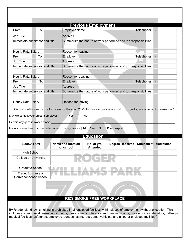| Job Title<br>Address<br>Summarize the nature of work performed and job responsibilities<br>Reason for leaving<br>Telephone(<br>Employer<br>To<br>Address<br>Summarize the nature of work performed and job responsibilities<br>Reason for Leaving<br>To<br>Telephone()<br>Employer<br>Address<br>Summarize the nature of work performed and job responsibilities<br>Reason for leaving |  |  |  |  |  |  |
|----------------------------------------------------------------------------------------------------------------------------------------------------------------------------------------------------------------------------------------------------------------------------------------------------------------------------------------------------------------------------------------|--|--|--|--|--|--|
| Immediate supervisor and title                                                                                                                                                                                                                                                                                                                                                         |  |  |  |  |  |  |
|                                                                                                                                                                                                                                                                                                                                                                                        |  |  |  |  |  |  |
| Hourly Rate/Salary<br>(By providing the above information, you are authorizing RWPZ/RIZS to contact your former employers regarding your suitability for employment.)                                                                                                                                                                                                                  |  |  |  |  |  |  |
| From                                                                                                                                                                                                                                                                                                                                                                                   |  |  |  |  |  |  |
| Job Title<br>Immediate supervisor and title                                                                                                                                                                                                                                                                                                                                            |  |  |  |  |  |  |
|                                                                                                                                                                                                                                                                                                                                                                                        |  |  |  |  |  |  |
|                                                                                                                                                                                                                                                                                                                                                                                        |  |  |  |  |  |  |
| Hourly Rate/Salary<br>From<br>Job Title<br>Immediate supervisor and title                                                                                                                                                                                                                                                                                                              |  |  |  |  |  |  |
|                                                                                                                                                                                                                                                                                                                                                                                        |  |  |  |  |  |  |
|                                                                                                                                                                                                                                                                                                                                                                                        |  |  |  |  |  |  |
|                                                                                                                                                                                                                                                                                                                                                                                        |  |  |  |  |  |  |
|                                                                                                                                                                                                                                                                                                                                                                                        |  |  |  |  |  |  |
| Hourly Rate/Salary                                                                                                                                                                                                                                                                                                                                                                     |  |  |  |  |  |  |
|                                                                                                                                                                                                                                                                                                                                                                                        |  |  |  |  |  |  |
| <b>Education</b>                                                                                                                                                                                                                                                                                                                                                                       |  |  |  |  |  |  |
| <b>Name and location</b><br><b>Subjects studied/Major</b><br><b>EDUCATION</b><br>No. of yrs.<br><b>Degree Received</b><br>of school<br><b>Attended</b>                                                                                                                                                                                                                                 |  |  |  |  |  |  |
| <b>High School</b>                                                                                                                                                                                                                                                                                                                                                                     |  |  |  |  |  |  |
| <b>College or University</b>                                                                                                                                                                                                                                                                                                                                                           |  |  |  |  |  |  |
| <b>Graduate School</b>                                                                                                                                                                                                                                                                                                                                                                 |  |  |  |  |  |  |
| Trade, Business or                                                                                                                                                                                                                                                                                                                                                                     |  |  |  |  |  |  |